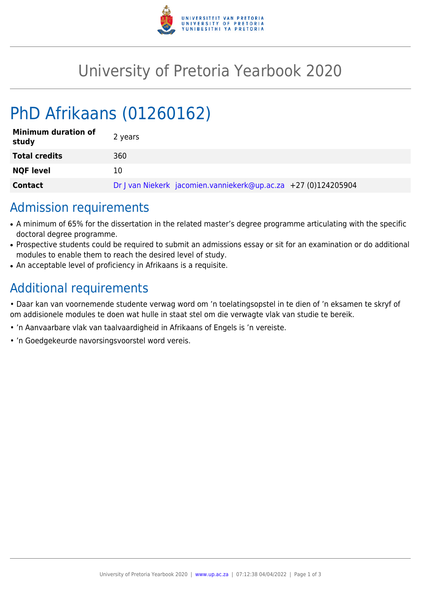

## University of Pretoria Yearbook 2020

# PhD Afrikaans (01260162)

| <b>Minimum duration of</b><br>study | 2 years                                                        |
|-------------------------------------|----------------------------------------------------------------|
| <b>Total credits</b>                | 360                                                            |
| <b>NQF level</b>                    | 10                                                             |
| <b>Contact</b>                      | Dr J van Niekerk jacomien.vanniekerk@up.ac.za +27 (0)124205904 |

#### Admission requirements

- A minimum of 65% for the dissertation in the related master's degree programme articulating with the specific doctoral degree programme.
- Prospective students could be required to submit an admissions essay or sit for an examination or do additional modules to enable them to reach the desired level of study.
- An acceptable level of proficiency in Afrikaans is a requisite.

## Additional requirements

• Daar kan van voornemende studente verwag word om 'n toelatingsopstel in te dien of 'n eksamen te skryf of om addisionele modules te doen wat hulle in staat stel om die verwagte vlak van studie te bereik.

- 'n Aanvaarbare vlak van taalvaardigheid in Afrikaans of Engels is 'n vereiste.
- 'n Goedgekeurde navorsingsvoorstel word vereis.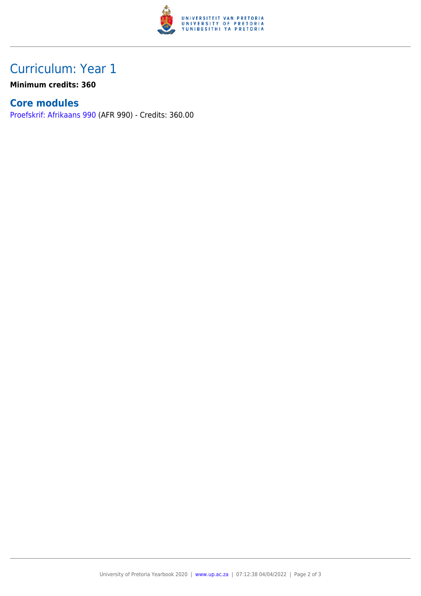

## Curriculum: Year 1

**Minimum credits: 360**

#### **Core modules**

[Proefskrif: Afrikaans 990](https://www.up.ac.za/yearbooks/2020/modules/view/AFR 990) (AFR 990) - Credits: 360.00